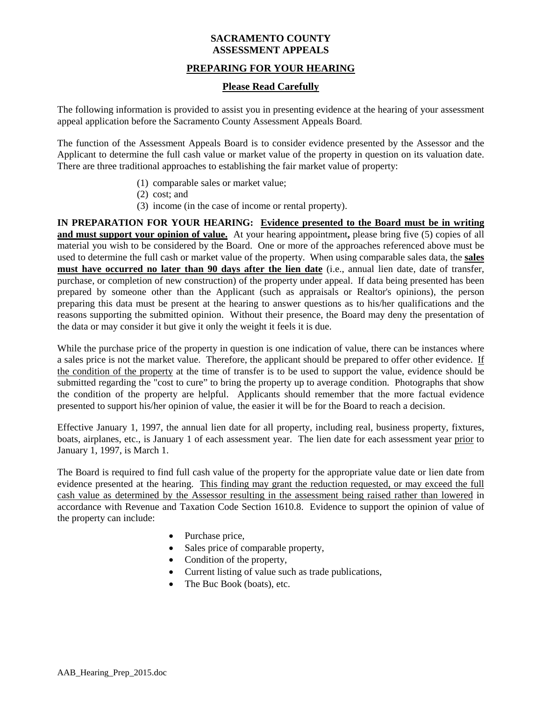## **SACRAMENTO COUNTY ASSESSMENT APPEALS**

## **PREPARING FOR YOUR HEARING**

## **Please Read Carefully**

The following information is provided to assist you in presenting evidence at the hearing of your assessment appeal application before the Sacramento County Assessment Appeals Board.

The function of the Assessment Appeals Board is to consider evidence presented by the Assessor and the Applicant to determine the full cash value or market value of the property in question on its valuation date. There are three traditional approaches to establishing the fair market value of property:

- (1) comparable sales or market value;
- (2) cost; and
- (3) income (in the case of income or rental property).

**IN PREPARATION FOR YOUR HEARING: Evidence presented to the Board must be in writing and must support your opinion of value.** At your hearing appointment, please bring five (5) copies of all material you wish to be considered by the Board. One or more of the approaches referenced above must be used to determine the full cash or market value of the property. When using comparable sales data, the **sales must have occurred no later than 90 days after the lien date** (i.e., annual lien date, date of transfer, purchase, or completion of new construction) of the property under appeal. If data being presented has been prepared by someone other than the Applicant (such as appraisals or Realtor's opinions), the person preparing this data must be present at the hearing to answer questions as to his/her qualifications and the reasons supporting the submitted opinion. Without their presence, the Board may deny the presentation of the data or may consider it but give it only the weight it feels it is due.

While the purchase price of the property in question is one indication of value, there can be instances where a sales price is not the market value. Therefore, the applicant should be prepared to offer other evidence. If the condition of the property at the time of transfer is to be used to support the value, evidence should be submitted regarding the "cost to cure" to bring the property up to average condition. Photographs that show the condition of the property are helpful. Applicants should remember that the more factual evidence presented to support his/her opinion of value, the easier it will be for the Board to reach a decision.

Effective January 1, 1997, the annual lien date for all property, including real, business property, fixtures, boats, airplanes, etc., is January 1 of each assessment year. The lien date for each assessment year prior to January 1, 1997, is March 1.

The Board is required to find full cash value of the property for the appropriate value date or lien date from evidence presented at the hearing. This finding may grant the reduction requested, or may exceed the full cash value as determined by the Assessor resulting in the assessment being raised rather than lowered in accordance with Revenue and Taxation Code Section 1610.8. Evidence to support the opinion of value of the property can include:

- Purchase price,
- Sales price of comparable property,
- Condition of the property,
- Current listing of value such as trade publications,
- The Buc Book (boats), etc.